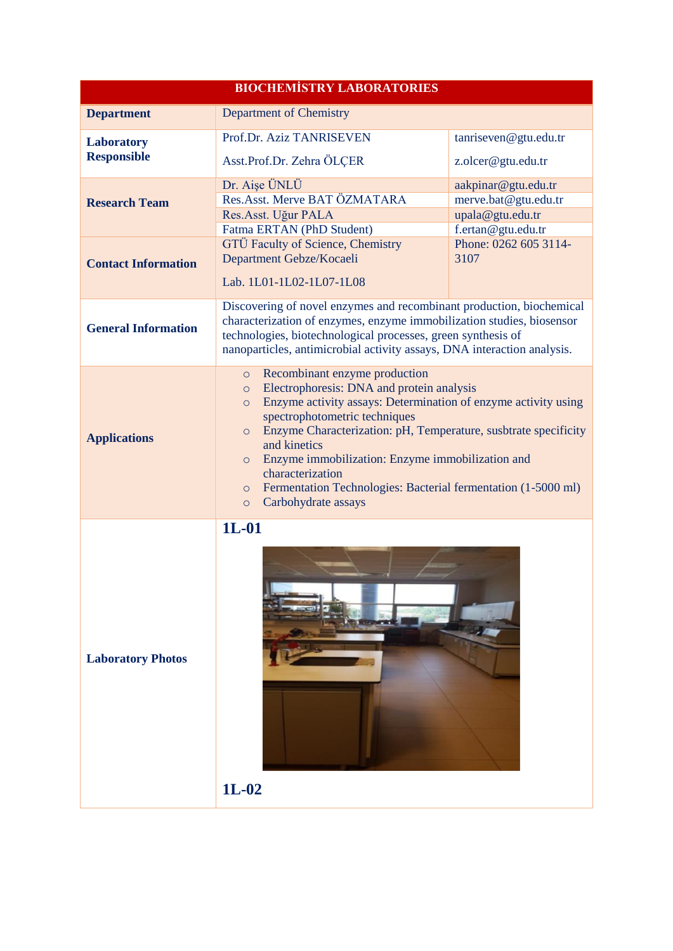| <b>BIOCHEMISTRY LABORATORIES</b>        |                                                                                                                                                                                                                                                                                                                                                                                                                                                                                                               |                                             |  |  |
|-----------------------------------------|---------------------------------------------------------------------------------------------------------------------------------------------------------------------------------------------------------------------------------------------------------------------------------------------------------------------------------------------------------------------------------------------------------------------------------------------------------------------------------------------------------------|---------------------------------------------|--|--|
| <b>Department</b>                       | Department of Chemistry                                                                                                                                                                                                                                                                                                                                                                                                                                                                                       |                                             |  |  |
| <b>Laboratory</b><br><b>Responsible</b> | Prof.Dr. Aziz TANRISEVEN<br>Asst.Prof.Dr. Zehra ÖLÇER                                                                                                                                                                                                                                                                                                                                                                                                                                                         | tanriseven@gtu.edu.tr<br>z.olcer@gtu.edu.tr |  |  |
| <b>Research Team</b>                    | Dr. Aişe ÜNLÜ<br>aakpinar@gtu.edu.tr<br>Res.Asst. Merve BAT ÖZMATARA<br>merve.bat@gtu.edu.tr<br>Res.Asst. Uğur PALA<br>upala@gtu.edu.tr<br>f.ertan@gtu.edu.tr<br>Fatma ERTAN (PhD Student)                                                                                                                                                                                                                                                                                                                    |                                             |  |  |
| <b>Contact Information</b>              | GTÜ Faculty of Science, Chemistry<br>Department Gebze/Kocaeli<br>Lab. 1L01-1L02-1L07-1L08                                                                                                                                                                                                                                                                                                                                                                                                                     | Phone: 0262 605 3114-<br>3107               |  |  |
| <b>General Information</b>              | Discovering of novel enzymes and recombinant production, biochemical<br>characterization of enzymes, enzyme immobilization studies, biosensor<br>technologies, biotechnological processes, green synthesis of<br>nanoparticles, antimicrobial activity assays, DNA interaction analysis.                                                                                                                                                                                                                      |                                             |  |  |
| <b>Applications</b>                     | Recombinant enzyme production<br>$\circ$<br>Electrophoresis: DNA and protein analysis<br>$\circ$<br>Enzyme activity assays: Determination of enzyme activity using<br>$\circ$<br>spectrophotometric techniques<br>Enzyme Characterization: pH, Temperature, susbtrate specificity<br>$\circ$<br>and kinetics<br>Enzyme immobilization: Enzyme immobilization and<br>$\circ$<br>characterization<br>Fermentation Technologies: Bacterial fermentation (1-5000 ml)<br>$\circ$<br>Carbohydrate assays<br>$\circ$ |                                             |  |  |
| <b>Laboratory Photos</b>                | $1L-01$<br>$1L-02$                                                                                                                                                                                                                                                                                                                                                                                                                                                                                            |                                             |  |  |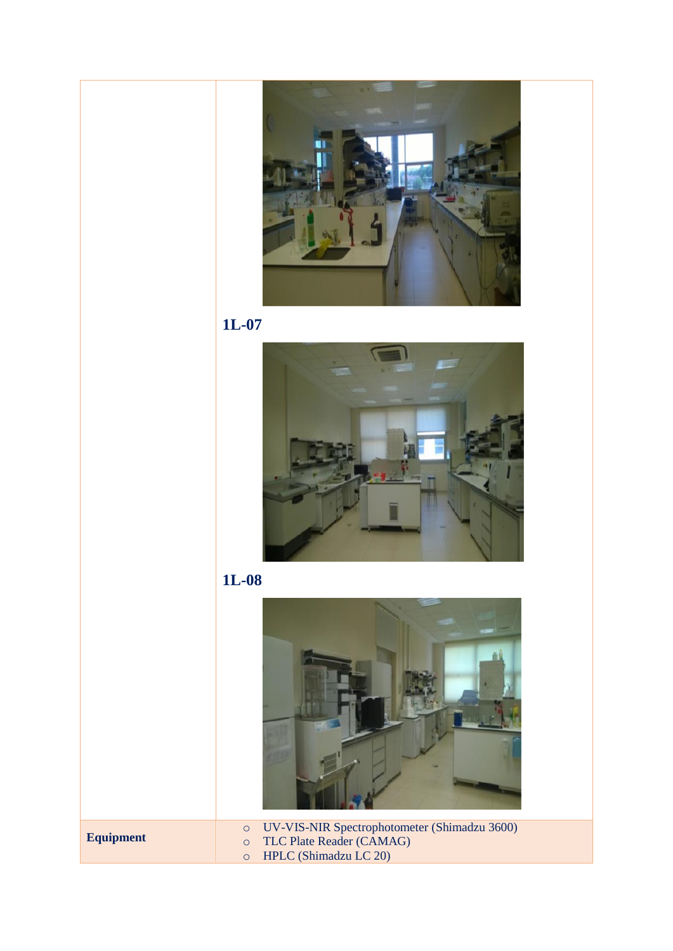









**Equipment**

o UV-VIS-NIR Spectrophotometer (Shimadzu 3600)

o TLC Plate Reader (CAMAG)

o HPLC (Shimadzu LC 20)